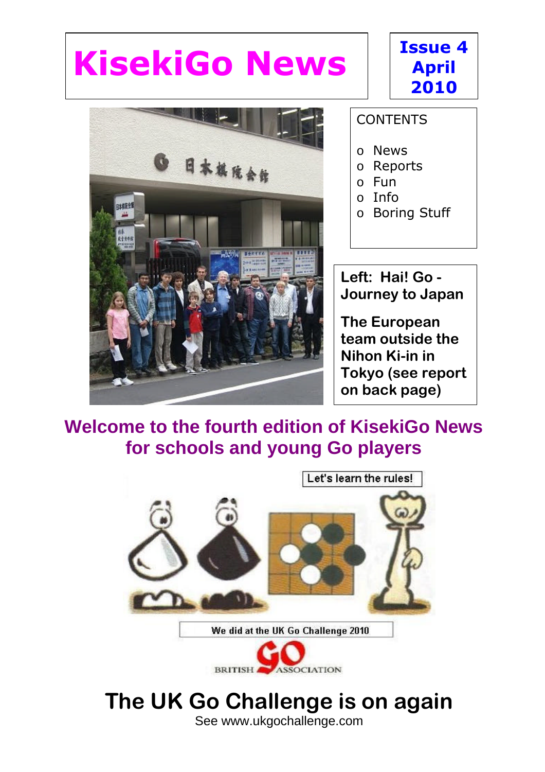# **KisekiGo News**



### **CONTENTS**

 $\overline{a}$ 

**Issue 4**

**April**

**2010**

- o News
- o Reports
- o Fun
- $\circ$  Info
- o Boring Stuff

**Left: Hai! Go - Journey to Japan**

**The European team outside the Nihon Ki-in in Tokyo (see report on back page)**

### **Welcome to the fourth edition of KisekiGo News for schools and young Go players**



#### See www.ukgochallenge.com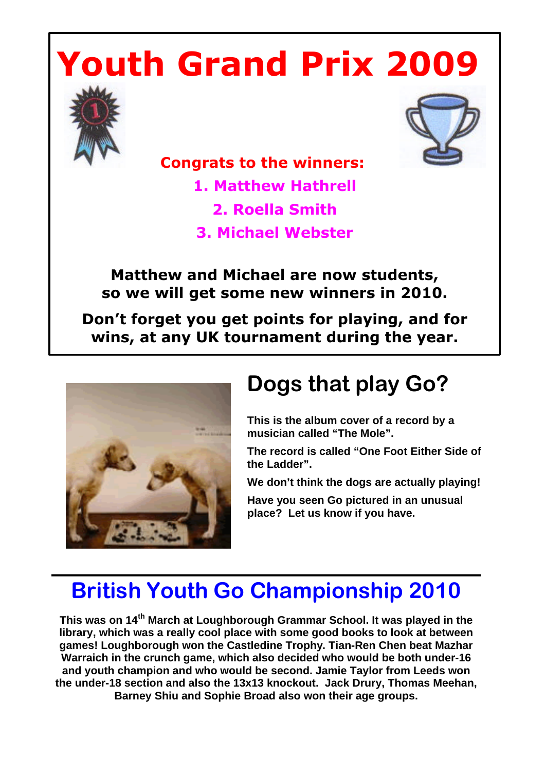# **Youth Grand Prix 2009**





 **Congrats to the winners:** 

**1. Matthew Hathrell**

**2. Roella Smith**

**3. Michael Webster**

**Matthew and Michael are now students, so we will get some new winners in 2010.** 

**Don't forget you get points for playing, and for wins, at any UK tournament during the year.**



# **Dogs that play Go?**

**This is the album cover of a record by a musician called "The Mole".** 

**The record is called "One Foot Either Side of the Ladder".**

**We don't think the dogs are actually playing!**

**Have you seen Go pictured in an unusual place? Let us know if you have.**

## **British Youth Go Championship 2010**

**This was on 14th March at Loughborough Grammar School. It was played in the library, which was a really cool place with some good books to look at between games! Loughborough won the Castledine Trophy. Tian-Ren Chen beat Mazhar Warraich in the crunch game, which also decided who would be both under-16 and youth champion and who would be second. Jamie Taylor from Leeds won the under-18 section and also the 13x13 knockout. Jack Drury, Thomas Meehan, Barney Shiu and Sophie Broad also won their age groups.**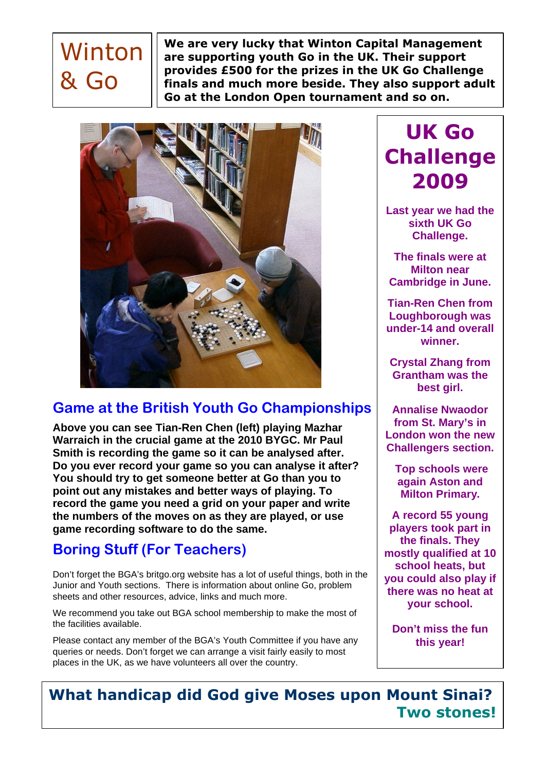# Winton & Go

**We are very lucky that Winton Capital Management are supporting youth Go in the UK. Their support provides £500 for the prizes in the UK Go Challenge finals and much more beside. They also support adult Go at the London Open tournament and so on.**



### **Game at the British Youth Go Championships**

**Above you can see Tian-Ren Chen (left) playing Mazhar Warraich in the crucial game at the 2010 BYGC. Mr Paul Smith is recording the game so it can be analysed after. Do you ever record your game so you can analyse it after? You should try to get someone better at Go than you to point out any mistakes and better ways of playing. To record the game you need a grid on your paper and write the numbers of the moves on as they are played, or use game recording software to do the same.** 

### **Boring Stuff (For Teachers)**

Don't forget the BGA's britgo.org website has a lot of useful things, both in the Junior and Youth sections. There is information about online Go, problem sheets and other resources, advice, links and much more.

We recommend you take out BGA school membership to make the most of the facilities available.

Please contact any member of the BGA's Youth Committee if you have any queries or needs. Don't forget we can arrange a visit fairly easily to most places in the UK, as we have volunteers all over the country.

## **UK Go Challenge 2009**

**Last year we had the sixth UK Go Challenge.**

**The finals were at Milton near Cambridge in June.**

**Tian-Ren Chen from Loughborough was under-14 and overall winner.**

**Crystal Zhang from Grantham was the best girl.** 

**Annalise Nwaodor from St. Mary's in London won the new Challengers section.**

**Top schools were again Aston and Milton Primary.**

**A record 55 young players took part in the finals. They mostly qualified at 10 school heats, but you could also play if there was no heat at your school.**

**Don't miss the fun this year!**

**What handicap did God give Moses upon Mount Sinai? Two stones!**